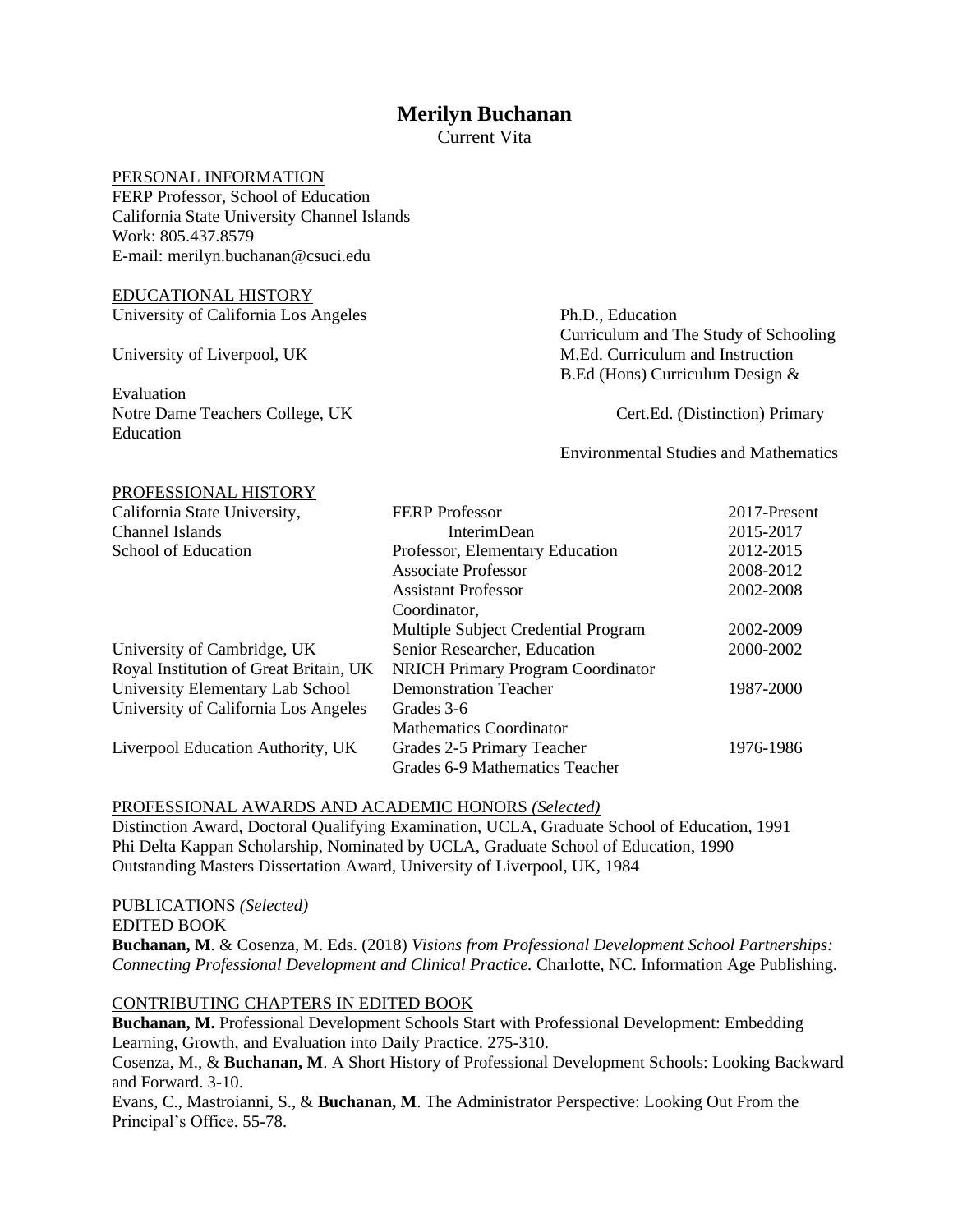# **Merilyn Buchanan**

Current Vita

# PERSONAL INFORMATION

FERP Professor, School of Education California State University Channel Islands Work: 805.437.8579 E-mail: merilyn.buchanan@csuci.edu

# EDUCATIONAL HISTORY University of California Los Angeles Ph.D., Education

PROFESSIONAL HISTORY

Evaluation Notre Dame Teachers College, UK Cert.Ed. (Distinction) Primary Education

 Curriculum and The Study of Schooling University of Liverpool, UK M.Ed. Curriculum and Instruction B.Ed (Hons) Curriculum Design &

Environmental Studies and Mathematics

| California State University,           | <b>FERP</b> Professor                    | 2017-Present |
|----------------------------------------|------------------------------------------|--------------|
| Channel Islands                        | <b>InterimDean</b>                       | 2015-2017    |
| School of Education                    | Professor, Elementary Education          | 2012-2015    |
|                                        | <b>Associate Professor</b>               | 2008-2012    |
|                                        | <b>Assistant Professor</b>               | 2002-2008    |
|                                        | Coordinator,                             |              |
|                                        | Multiple Subject Credential Program      | 2002-2009    |
| University of Cambridge, UK            | Senior Researcher, Education             | 2000-2002    |
| Royal Institution of Great Britain, UK | <b>NRICH Primary Program Coordinator</b> |              |
| University Elementary Lab School       | <b>Demonstration Teacher</b>             | 1987-2000    |
| University of California Los Angeles   | Grades 3-6                               |              |
|                                        | Mathematics Coordinator                  |              |
| Liverpool Education Authority, UK      | Grades 2-5 Primary Teacher               | 1976-1986    |
|                                        | Grades 6-9 Mathematics Teacher           |              |

#### PROFESSIONAL AWARDS AND ACADEMIC HONORS *(Selected)*

Distinction Award, Doctoral Qualifying Examination, UCLA, Graduate School of Education, 1991 Phi Delta Kappan Scholarship, Nominated by UCLA, Graduate School of Education, 1990 Outstanding Masters Dissertation Award, University of Liverpool, UK, 1984

#### PUBLICATIONS *(Selected)*

EDITED BOOK

**Buchanan, M**. & Cosenza, M. Eds. (2018) *Visions from Professional Development School Partnerships: Connecting Professional Development and Clinical Practice.* Charlotte, NC. Information Age Publishing.

## CONTRIBUTING CHAPTERS IN EDITED BOOK

**Buchanan, M.** Professional Development Schools Start with Professional Development: Embedding Learning, Growth, and Evaluation into Daily Practice. 275-310.

Cosenza, M., & **Buchanan, M**. A Short History of Professional Development Schools: Looking Backward and Forward. 3-10.

Evans, C., Mastroianni, S., & **Buchanan, M**. The Administrator Perspective: Looking Out From the Principal's Office. 55-78.